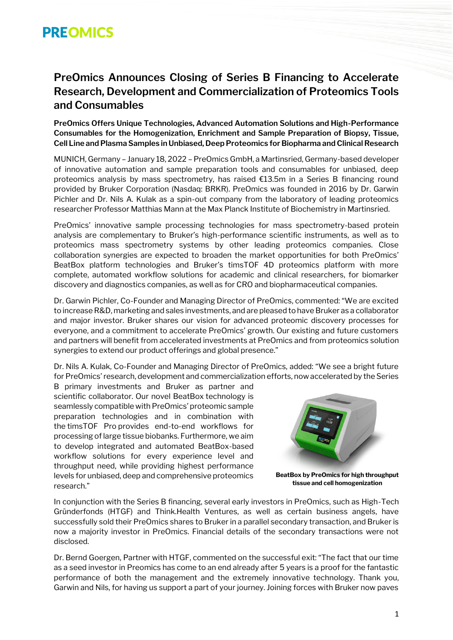# **PREOMICS**

## **PreOmics Announces Closing of Series B Financing to Accelerate Research, Development and Commercialization of Proteomics Tools and Consumables**

**PreOmics Offers Unique Technologies, Advanced Automation Solutions and High-Performance Consumables for the Homogenization, Enrichment and Sample Preparation of Biopsy, Tissue, Cell Line and Plasma Samples in Unbiased, Deep Proteomics for Biopharma and Clinical Research**

MUNICH, Germany – January 18, 2022 – PreOmics GmbH, a Martinsried, Germany-based developer of innovative automation and sample preparation tools and consumables for unbiased, deep proteomics analysis by mass spectrometry, has raised €13.5m in a Series B financing round provided by Bruker Corporation (Nasdaq: BRKR). PreOmics was founded in 2016 by Dr. Garwin Pichler and Dr. Nils A. Kulak as a spin-out company from the laboratory of leading proteomics researcher Professor Matthias Mann at the Max Planck Institute of Biochemistry in Martinsried.

PreOmics' innovative sample processing technologies for mass spectrometry-based protein analysis are complementary to Bruker's high-performance scientific instruments, as well as to proteomics mass spectrometry systems by other leading proteomics companies. Close collaboration synergies are expected to broaden the market opportunities for both PreOmics' BeatBox platform technologies and Bruker's timsTOF 4D proteomics platform with more complete, automated workflow solutions for academic and clinical researchers, for biomarker discovery and diagnostics companies, as well as for CRO and biopharmaceutical companies.

Dr. Garwin Pichler, Co-Founder and Managing Director of PreOmics, commented: "We are excited to increase R&D, marketing and sales investments, and are pleased to have Bruker as a collaborator and major investor. Bruker shares our vision for advanced proteomic discovery processes for everyone, and a commitment to accelerate PreOmics' growth. Our existing and future customers and partners will benefit from accelerated investments at PreOmics and from proteomics solution synergies to extend our product offerings and global presence."

Dr. Nils A. Kulak, Co-Founder and Managing Director of PreOmics, added: "We see a bright future for PreOmics' research, development and commercialization efforts, now accelerated by the Series

B primary investments and Bruker as partner and scientific collaborator. Our novel BeatBox technology is seamlessly compatible with PreOmics' proteomic sample preparation technologies and in combination with the timsTOF Pro provides end-to-end workflows for processing of large tissue biobanks. Furthermore, we aim to develop integrated and automated BeatBox-based workflow solutions for every experience level and throughput need, while providing highest performance levels for unbiased, deep and comprehensive proteomics research."



**BeatBox by PreOmics for high throughput tissue and cell homogenization**

In conjunction with the Series B financing, several early investors in PreOmics, such as High-Tech Gründerfonds (HTGF) and Think.Health Ventures, as well as certain business angels, have successfully sold their PreOmics shares to Bruker in a parallel secondary transaction, and Bruker is now a majority investor in PreOmics. Financial details of the secondary transactions were not disclosed.

Dr. Bernd Goergen, Partner with HTGF, commented on the successful exit: "The fact that our time as a seed investor in Preomics has come to an end already after 5 years is a proof for the fantastic performance of both the management and the extremely innovative technology. Thank you, Garwin and Nils, for having us support a part of your journey. Joining forces with Bruker now paves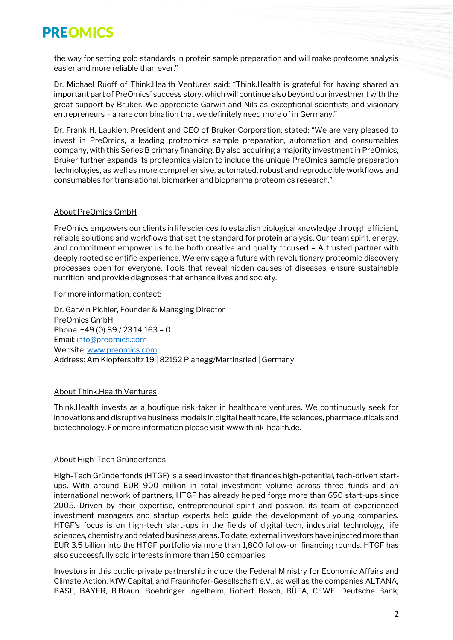# **PREOMICS**

the way for setting gold standards in protein sample preparation and will make proteome analysis easier and more reliable than ever."

Dr. Michael Ruoff of Think.Health Ventures said: "Think.Health is grateful for having shared an important part of PreOmics' success story, which will continue also beyond our investment with the great support by Bruker. We appreciate Garwin and Nils as exceptional scientists and visionary entrepreneurs – a rare combination that we definitely need more of in Germany."

Dr. Frank H. Laukien, President and CEO of Bruker Corporation, stated: "We are very pleased to invest in PreOmics, a leading proteomics sample preparation, automation and consumables company, with this Series B primary financing. By also acquiring a majority investment in PreOmics, Bruker further expands its proteomics vision to include the unique PreOmics sample preparation technologies, as well as more comprehensive, automated, robust and reproducible workflows and consumables for translational, biomarker and biopharma proteomics research."

### About PreOmics GmbH

PreOmics empowers our clients in life sciences to establish biological knowledge through efficient, reliable solutions and workflows that set the standard for protein analysis. Our team spirit, energy, and commitment empower us to be both creative and quality focused – A trusted partner with deeply rooted scientific experience. We envisage a future with revolutionary proteomic discovery processes open for everyone. Tools that reveal hidden causes of diseases, ensure sustainable nutrition, and provide diagnoses that enhance lives and society.

#### For more information, contact:

Dr. Garwin Pichler, Founder & Managing Director PreOmics GmbH Phone: +49 (0) 89 / 23 14 163 – 0 Email[: info@preomics.com](mailto:info@preomics.com) Website[: www.preomics.com](http://www.preomics.com/) Address: Am Klopferspitz 19 | 82152 Planegg/Martinsried | Germany

### About Think.Health Ventures

Think.Health invests as a boutique risk-taker in healthcare ventures. We continuously seek for innovations and disruptive business models in digital healthcare, life sciences, pharmaceuticals and biotechnology. For more information please visi[t www.think-health.de.](https://think-health.us12.list-manage.com/track/click?u=9bc2f01cdad75dca8b9f897d1&id=aa70ca94fb&e=16cbef635a) 

#### About High-Tech Gründerfonds

High-Tech Gründerfonds (HTGF) is a seed investor that finances high-potential, tech-driven startups. With around EUR 900 million in total investment volume across three funds and an international network of partners, HTGF has already helped forge more than 650 start-ups since 2005. Driven by their expertise, entrepreneurial spirit and passion, its team of experienced investment managers and startup experts help guide the development of young companies. HTGF's focus is on high-tech start-ups in the fields of digital tech, industrial technology, life sciences, chemistry and related business areas. To date, external investors have injected more than EUR 3.5 billion into the HTGF portfolio via more than 1,800 follow-on financing rounds. HTGF has also successfully sold interests in more than 150 companies.

Investors in this public-private partnership include the Federal Ministry for Economic Affairs and Climate Action, KfW Capital, and Fraunhofer-Gesellschaft e.V., as well as the companies ALTANA, BASF, BAYER, B.Braun, Boehringer Ingelheim, Robert Bosch, BÜFA, CEWE, Deutsche Bank,